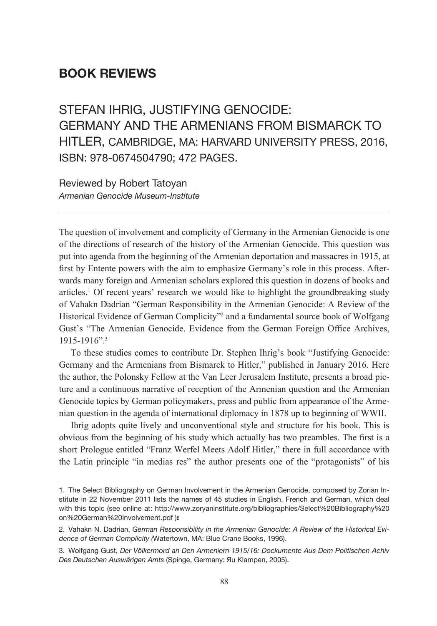## **BOOK REVIEWS**

STEFAN IHRIG, JUSTIFYING GENOCIDE: Germany and the Armenians from Bismarck to Hitler, Cambridge, MA: Harvard University Press, 2016, ISBN: 978-0674504790; 472 pages.

Reviewed by Robert Tatoyan *Armenian Genocide Museum-Institute*

The question of involvement and complicity of Germany in the Armenian Genocide is one of the directions of research of the history of the Armenian Genocide. This question was put into agenda from the beginning of the Armenian deportation and massacres in 1915, at first by Entente powers with the aim to emphasize Germany's role in this process. Afterwards many foreign and Armenian scholars explored this question in dozens of books and articles.<sup>1</sup> Of recent years' research we would like to highlight the groundbreaking study of Vahakn Dadrian "German Responsibility in the Armenian Genocide: A Review of the Historical Evidence of German Complicity"<sup>2</sup> and a fundamental source book of Wolfgang Gust's "The Armenian Genocide. Evidence from the German Foreign Office Archives,  $1915 - 1916$ ".<sup>3</sup>

To these studies comes to contribute Dr. Stephen Ihrig's book "Justifying Genocide: Germany and the Armenians from Bismarck to Hitler," published in January 2016. Here the author, the Polonsky Fellow at the Van Leer Jerusalem Institute, presents a broad picture and a continuous narrative of reception of the Armenian question and the Armenian Genocide topics by German policymakers, press and public from appearance of the Armenian question in the agenda of international diplomacy in 1878 up to beginning of WWII.

Ihrig adopts quite lively and unconventional style and structure for his book. This is obvious from the beginning of his study which actually has two preambles. The first is a short Prologue entitled "Franz Werfel Meets Adolf Hitler," there in full accordance with the Latin principle "in medias res" the author presents one of the "protagonists" of his

<sup>1.</sup> The Select Bibliography on German Involvement in the Armenian Genocide, composed by Zorian Institute in 22 November 2011 lists the names of 45 studies in English, French and German, which deal with this topic (see online at: http://www.zoryaninstitute.org/bibliographies/Select%20Bibliography%20 on%20German%20Involvement.pdf ):

<sup>2.</sup> Vahakn N. Dadrian, *German Responsibility in the Armenian Genocide: A Review of the Historical Evidence of German Complicity (*Watertown, MA: Blue Crane Books, 1996).

<sup>3.</sup> Wolfgang Gust, *Der Völkermord an Den Armeniern 1915/16: Dockumente Aus Dem Politischen Achiv Des Deutschen Auswärigen Amts* (Spinge, Germany: Яu Klampen, 2005).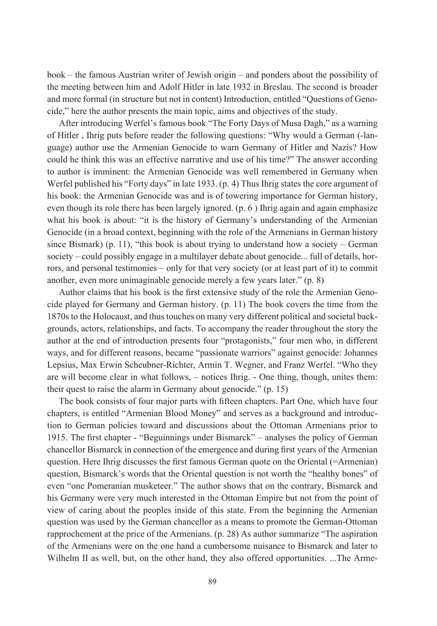book – the famous Austrian writer of Jewish origin – and ponders about the possibility of the meeting between him and Adolf Hitler in late 1932 in Breslau. The second is broader and more formal (in structure but not in content) Introduction, entitled "Questions of Genocide," here the author presents the main topic, aims and objectives of the study.

After introducing Werfel's famous book "The Forty Days of Musa Dagh," as a warning of Hitler , Ihrig puts before reader the following questions: "Why would a German (-language) author use the Armenian Genocide to warn Germany of Hitler and Nazis? How could he think this was an effective narrative and use of his time?" The answer according to author is imminent: the Armenian Genocide was well remembered in Germany when Werfel published his "Forty days" in late 1933. (p. 4) Thus Ihrig states the core argument of his book: the Armenian Genocide was and is of towering importance for German history, even though its role there has been largely ignored. (p. 6 ) Ihrig again and again emphasize what his book is about: "it is the history of Germany's understanding of the Armenian Genocide (in a broad context, beginning with the role of the Armenians in German history since Bismark) (p. 11), "this book is about trying to understand how a society – German society – could possibly engage in a multilayer debate about genocide... full of details, horrors, and personal testimonies – only for that very society (or at least part of it) to commit another, even more unimaginable genocide merely a few years later." (p. 8)

Author claims that his book is the first extensive study of the role the Armenian Genocide played for Germany and German history. (p. 11) The book covers the time from the 1870s to the Holocaust, and thus touches on many very different political and societal backgrounds, actors, relationships, and facts. To accompany the reader throughout the story the author at the end of introduction presents four "protagonists," four men who, in different ways, and for different reasons, became "passionate warriors" against genocide: Johannes Lepsius, Max Erwin Scheubner-Richter, Armin T. Wegner, and Franz Werfel. "Who they are will become clear in what follows, – notices Ihrig. - One thing, though, unites them: their quest to raise the alarm in Germany about genocide." (p. 15)

The book consists of four major parts with fifteen chapters. Part One, which have four chapters, is entitled "Armenian Blood Money" and serves as a background and introduction to German policies toward and discussions about the Ottoman Armenians prior to 1915. The first chapter - "Beguinnings under Bismarck" – analyses the policy of German chancellor Bismarck in connection of the emergence and during first years of the Armenian question. Here Ihrig discusses the first famous German quote on the Oriental (=Armenian) question, Bismarck's words that the Oriental question is not worth the "healthy bones" of even "one Pomeranian musketeer." The author shows that on the contrary, Bismarck and his Germany were very much interested in the Ottoman Empire but not from the point of view of caring about the peoples inside of this state. From the beginning the Armenian question was used by the German chancellor as a means to promote the German-Ottoman rapprochement at the price of the Armenians. (p. 28) As author summarize "The aspiration of the Armenians were on the one hand a cumbersome nuisance to Bismarck and later to Wilhelm II as well, but, on the other hand, they also offered opportunities. ...The Arme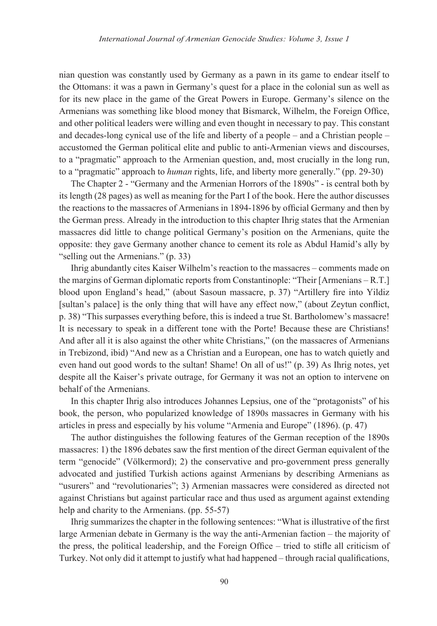nian question was constantly used by Germany as a pawn in its game to endear itself to the Ottomans: it was a pawn in Germany's quest for a place in the colonial sun as well as for its new place in the game of the Great Powers in Europe. Germany's silence on the Armenians was something like blood money that Bismarck, Wilhelm, the Foreign Office, and other political leaders were willing and even thought in necessary to pay. This constant and decades-long cynical use of the life and liberty of a people – and a Christian people – accustomed the German political elite and public to anti-Armenian views and discourses, to a "pragmatic" approach to the Armenian question, and, most crucially in the long run, to a "pragmatic" approach to *human* rights, life, and liberty more generally." (pp. 29-30)

The Chapter 2 - "Germany and the Armenian Horrors of the 1890s" - is central both by its length (28 pages) as well as meaning for the Part I of the book. Here the author discusses the reactions to the massacres of Armenians in 1894-1896 by official Germany and then by the German press. Already in the introduction to this chapter Ihrig states that the Armenian massacres did little to change political Germany's position on the Armenians, quite the opposite: they gave Germany another chance to cement its role as Abdul Hamid's ally by "selling out the Armenians." (p. 33)

Ihrig abundantly cites Kaiser Wilhelm's reaction to the massacres – comments made on the margins of German diplomatic reports from Constantinople: "Their [Armenians – R.T.] blood upon England's head," (about Sasoun massacre, p. 37) "Artillery fire into Yildiz [sultan's palace] is the only thing that will have any effect now," (about Zeytun conflict, p. 38) "This surpasses everything before, this is indeed a true St. Bartholomew's massacre! It is necessary to speak in a different tone with the Porte! Because these are Christians! And after all it is also against the other white Christians," (on the massacres of Armenians in Trebizond, ibid) "And new as a Christian and a European, one has to watch quietly and even hand out good words to the sultan! Shame! On all of us!" (p. 39) As Ihrig notes, yet despite all the Kaiser's private outrage, for Germany it was not an option to intervene on behalf of the Armenians.

In this chapter Ihrig also introduces Johannes Lepsius, one of the "protagonists" of his book, the person, who popularized knowledge of 1890s massacres in Germany with his articles in press and especially by his volume "Armenia and Europe" (1896). (p. 47)

The author distinguishes the following features of the German reception of the 1890s massacres: 1) the 1896 debates saw the first mention of the direct German equivalent of the term "genocide" (Völkermord); 2) the conservative and pro-government press generally advocated and justified Turkish actions against Armenians by describing Armenians as "usurers" and "revolutionaries"; 3) Armenian massacres were considered as directed not against Christians but against particular race and thus used as argument against extending help and charity to the Armenians. (pp. 55-57)

Ihrig summarizes the chapter in the following sentences: "What is illustrative of the first large Armenian debate in Germany is the way the anti-Armenian faction – the majority of the press, the political leadership, and the Foreign Office – tried to stifle all criticism of Turkey. Not only did it attempt to justify what had happened – through racial qualifications,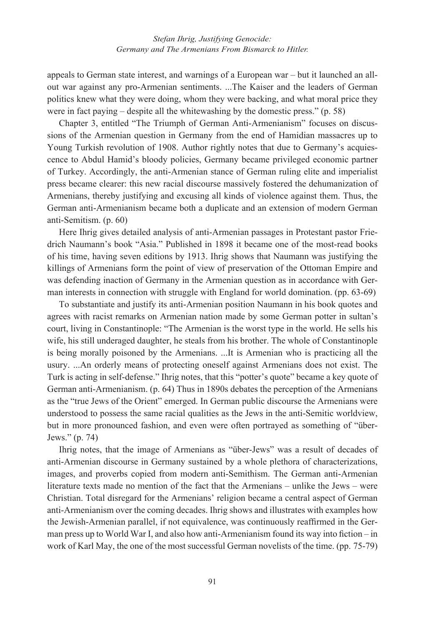appeals to German state interest, and warnings of a European war – but it launched an allout war against any pro-Armenian sentiments. ...The Kaiser and the leaders of German politics knew what they were doing, whom they were backing, and what moral price they were in fact paying – despite all the whitewashing by the domestic press." (p. 58)

Chapter 3, entitled "The Triumph of German Anti-Armenianism" focuses on discussions of the Armenian question in Germany from the end of Hamidian massacres up to Young Turkish revolution of 1908. Author rightly notes that due to Germany's acquiescence to Abdul Hamid's bloody policies, Germany became privileged economic partner of Turkey. Accordingly, the anti-Armenian stance of German ruling elite and imperialist press became clearer: this new racial discourse massively fostered the dehumanization of Armenians, thereby justifying and excusing all kinds of violence against them. Thus, the German anti-Armenianism became both a duplicate and an extension of modern German anti-Semitism. (p. 60)

Here Ihrig gives detailed analysis of anti-Armenian passages in Protestant pastor Friedrich Naumann's book "Asia." Published in 1898 it became one of the most-read books of his time, having seven editions by 1913. Ihrig shows that Naumann was justifying the killings of Armenians form the point of view of preservation of the Ottoman Empire and was defending inaction of Germany in the Armenian question as in accordance with German interests in connection with struggle with England for world domination. (pp. 63-69)

To substantiate and justify its anti-Armenian position Naumann in his book quotes and agrees with racist remarks on Armenian nation made by some German potter in sultan's court, living in Constantinople: "The Armenian is the worst type in the world. He sells his wife, his still underaged daughter, he steals from his brother. The whole of Constantinople is being morally poisoned by the Armenians. ...It is Armenian who is practicing all the usury. ...An orderly means of protecting oneself against Armenians does not exist. The Turk is acting in self-defense." Ihrig notes, that this "potter's quote" became a key quote of German anti-Armenianism. (p. 64) Thus in 1890s debates the perception of the Armenians as the "true Jews of the Orient" emerged. In German public discourse the Armenians were understood to possess the same racial qualities as the Jews in the anti-Semitic worldview, but in more pronounced fashion, and even were often portrayed as something of "über-Jews." (p. 74)

Ihrig notes, that the image of Armenians as "über-Jews" was a result of decades of anti-Armenian discourse in Germany sustained by a whole plethora of characterizations, images, and proverbs copied from modern anti-Semithism. The German anti-Armenian literature texts made no mention of the fact that the Armenians – unlike the Jews – were Christian. Total disregard for the Armenians' religion became a central aspect of German anti-Armenianism over the coming decades. Ihrig shows and illustrates with examples how the Jewish-Armenian parallel, if not equivalence, was continuously reaffirmed in the German press up to World War I, and also how anti-Armenianism found its way into fiction – in work of Karl May, the one of the most successful German novelists of the time. (pp. 75-79)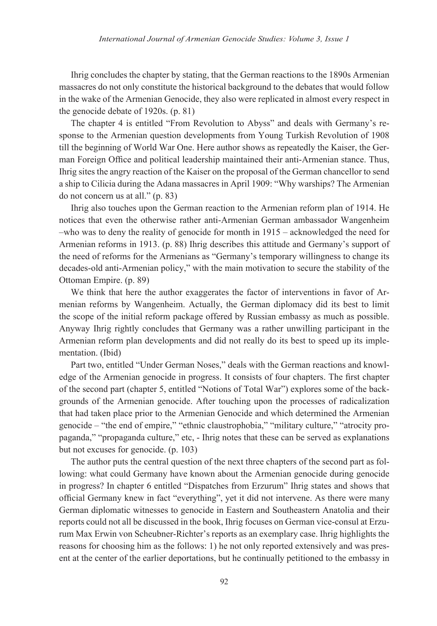Ihrig concludes the chapter by stating, that the German reactions to the 1890s Armenian massacres do not only constitute the historical background to the debates that would follow in the wake of the Armenian Genocide, they also were replicated in almost every respect in the genocide debate of 1920s. (p. 81)

The chapter 4 is entitled "From Revolution to Abyss" and deals with Germany's response to the Armenian question developments from Young Turkish Revolution of 1908 till the beginning of World War One. Here author shows as repeatedly the Kaiser, the German Foreign Office and political leadership maintained their anti-Armenian stance. Thus, Ihrig sites the angry reaction of the Kaiser on the proposal of the German chancellor to send a ship to Cilicia during the Adana massacres in April 1909: "Why warships? The Armenian do not concern us at all." (p. 83)

Ihrig also touches upon the German reaction to the Armenian reform plan of 1914. He notices that even the otherwise rather anti-Armenian German ambassador Wangenheim –who was to deny the reality of genocide for month in 1915 – acknowledged the need for Armenian reforms in 1913. (p. 88) Ihrig describes this attitude and Germany's support of the need of reforms for the Armenians as "Germany's temporary willingness to change its decades-old anti-Armenian policy," with the main motivation to secure the stability of the Ottoman Empire. (p. 89)

We think that here the author exaggerates the factor of interventions in favor of Armenian reforms by Wangenheim. Actually, the German diplomacy did its best to limit the scope of the initial reform package offered by Russian embassy as much as possible. Anyway Ihrig rightly concludes that Germany was a rather unwilling participant in the Armenian reform plan developments and did not really do its best to speed up its implementation. (Ibid)

Part two, entitled "Under German Noses," deals with the German reactions and knowledge of the Armenian genocide in progress. It consists of four chapters. The first chapter of the second part (chapter 5, entitled "Notions of Total War") explores some of the backgrounds of the Armenian genocide. After touching upon the processes of radicalization that had taken place prior to the Armenian Genocide and which determined the Armenian genocide – "the end of empire," "ethnic claustrophobia," "military culture," "atrocity propaganda," "propaganda culture," etc, - Ihrig notes that these can be served as explanations but not excuses for genocide. (p. 103)

The author puts the central question of the next three chapters of the second part as following: what could Germany have known about the Armenian genocide during genocide in progress? In chapter 6 entitled "Dispatches from Erzurum" Ihrig states and shows that official Germany knew in fact "everything", yet it did not intervene. As there were many German diplomatic witnesses to genocide in Eastern and Southeastern Anatolia and their reports could not all be discussed in the book, Ihrig focuses on German vice-consul at Erzurum Max Erwin von Scheubner-Richter's reports as an exemplary case. Ihrig highlights the reasons for choosing him as the follows: 1) he not only reported extensively and was present at the center of the earlier deportations, but he continually petitioned to the embassy in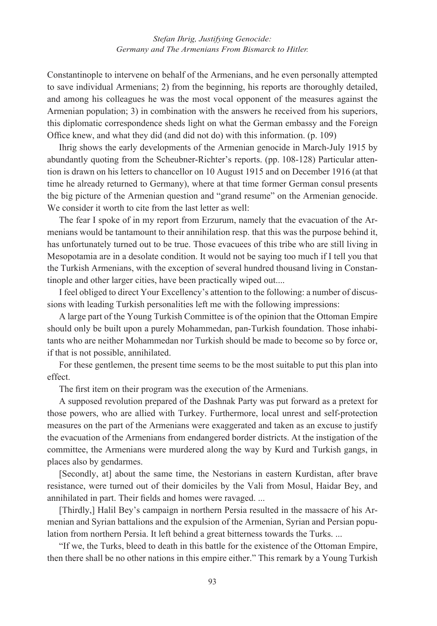Constantinople to intervene on behalf of the Armenians, and he even personally attempted to save individual Armenians; 2) from the beginning, his reports are thoroughly detailed, and among his colleagues he was the most vocal opponent of the measures against the Armenian population; 3) in combination with the answers he received from his superiors, this diplomatic correspondence sheds light on what the German embassy and the Foreign Office knew, and what they did (and did not do) with this information. (p. 109)

Ihrig shows the early developments of the Armenian genocide in March-July 1915 by abundantly quoting from the Scheubner-Richter's reports. (pp. 108-128) Particular attention is drawn on his letters to chancellor on 10 August 1915 and on December 1916 (at that time he already returned to Germany), where at that time former German consul presents the big picture of the Armenian question and "grand resume" on the Armenian genocide. We consider it worth to cite from the last letter as well:

The fear I spoke of in my report from Erzurum, namely that the evacuation of the Armenians would be tantamount to their annihilation resp. that this was the purpose behind it, has unfortunately turned out to be true. Those evacuees of this tribe who are still living in Mesopotamia are in a desolate condition. It would not be saying too much if I tell you that the Turkish Armenians, with the exception of several hundred thousand living in Constantinople and other larger cities, have been practically wiped out....

I feel obliged to direct Your Excellency's attention to the following: a number of discussions with leading Turkish personalities left me with the following impressions:

A large part of the Young Turkish Committee is of the opinion that the Ottoman Empire should only be built upon a purely Mohammedan, pan-Turkish foundation. Those inhabitants who are neither Mohammedan nor Turkish should be made to become so by force or, if that is not possible, annihilated.

For these gentlemen, the present time seems to be the most suitable to put this plan into effect.

The first item on their program was the execution of the Armenians.

A supposed revolution prepared of the Dashnak Party was put forward as a pretext for those powers, who are allied with Turkey. Furthermore, local unrest and self-protection measures on the part of the Armenians were exaggerated and taken as an excuse to justify the evacuation of the Armenians from endangered border districts. At the instigation of the committee, the Armenians were murdered along the way by Kurd and Turkish gangs, in places also by gendarmes.

[Secondly, at] about the same time, the Nestorians in eastern Kurdistan, after brave resistance, were turned out of their domiciles by the Vali from Mosul, Haidar Bey, and annihilated in part. Their fields and homes were ravaged. ...

[Thirdly,] Halil Bey's campaign in northern Persia resulted in the massacre of his Armenian and Syrian battalions and the expulsion of the Armenian, Syrian and Persian population from northern Persia. It left behind a great bitterness towards the Turks. ...

"If we, the Turks, bleed to death in this battle for the existence of the Ottoman Empire, then there shall be no other nations in this empire either." This remark by a Young Turkish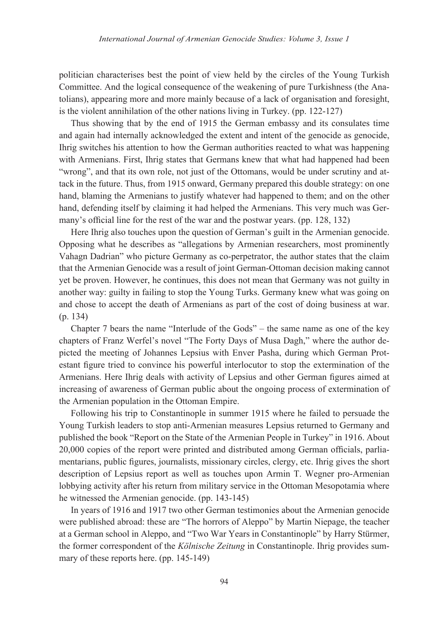politician characterises best the point of view held by the circles of the Young Turkish Committee. And the logical consequence of the weakening of pure Turkishness (the Anatolians), appearing more and more mainly because of a lack of organisation and foresight, is the violent annihilation of the other nations living in Turkey. (pp. 122-127)

Thus showing that by the end of 1915 the German embassy and its consulates time and again had internally acknowledged the extent and intent of the genocide as genocide, Ihrig switches his attention to how the German authorities reacted to what was happening with Armenians. First, Ihrig states that Germans knew that what had happened had been "wrong", and that its own role, not just of the Ottomans, would be under scrutiny and attack in the future. Thus, from 1915 onward, Germany prepared this double strategy: on one hand, blaming the Armenians to justify whatever had happened to them; and on the other hand, defending itself by claiming it had helped the Armenians. This very much was Germany's official line for the rest of the war and the postwar years. (pp. 128, 132)

Here Ihrig also touches upon the question of German's guilt in the Armenian genocide. Opposing what he describes as "allegations by Armenian researchers, most prominently Vahagn Dadrian" who picture Germany as co-perpetrator, the author states that the claim that the Armenian Genocide was a result of joint German-Ottoman decision making cannot yet be proven. However, he continues, this does not mean that Germany was not guilty in another way: guilty in failing to stop the Young Turks. Germany knew what was going on and chose to accept the death of Armenians as part of the cost of doing business at war. (p. 134)

Chapter 7 bears the name "Interlude of the Gods" – the same name as one of the key chapters of Franz Werfel's novel "The Forty Days of Musa Dagh," where the author depicted the meeting of Johannes Lepsius with Enver Pasha, during which German Protestant figure tried to convince his powerful interlocutor to stop the extermination of the Armenians. Here Ihrig deals with activity of Lepsius and other German figures aimed at increasing of awareness of German public about the ongoing process of extermination of the Armenian population in the Ottoman Empire.

Following his trip to Constantinople in summer 1915 where he failed to persuade the Young Turkish leaders to stop anti-Armenian measures Lepsius returned to Germany and published the book "Report on the State of the Armenian People in Turkey" in 1916. About 20,000 copies of the report were printed and distributed among German officials, parliamentarians, public figures, journalists, missionary circles, clergy, etc. Ihrig gives the short description of Lepsius report as well as touches upon Armin T. Wegner pro-Armenian lobbying activity after his return from military service in the Ottoman Mesopotamia where he witnessed the Armenian genocide. (pp. 143-145)

In years of 1916 and 1917 two other German testimonies about the Armenian genocide were published abroad: these are "The horrors of Aleppo" by Martin Niepage, the teacher at a German school in Aleppo, and "Two War Years in Constantinople" by Harry Stürmer, the former correspondent of the *Kölnische Zeitung* in Constantinople. Ihrig provides summary of these reports here. (pp. 145-149)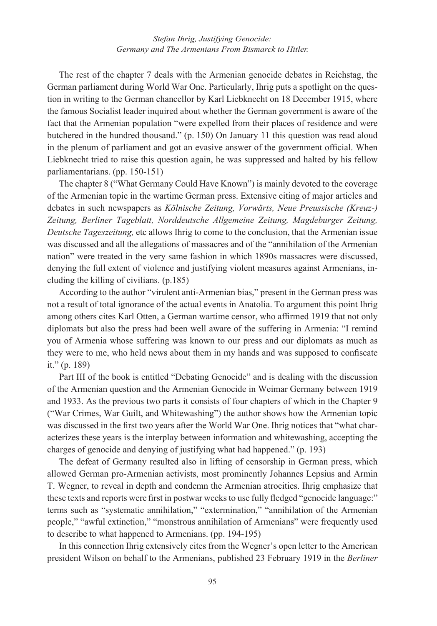The rest of the chapter 7 deals with the Armenian genocide debates in Reichstag, the German parliament during World War One. Particularly, Ihrig puts a spotlight on the question in writing to the German chancellor by Karl Liebknecht on 18 December 1915, where the famous Socialist leader inquired about whether the German government is aware of the fact that the Armenian population "were expelled from their places of residence and were butchered in the hundred thousand." (p. 150) On January 11 this question was read aloud in the plenum of parliament and got an evasive answer of the government official. When Liebknecht tried to raise this question again, he was suppressed and halted by his fellow parliamentarians. (pp. 150-151)

The chapter 8 ("What Germany Could Have Known") is mainly devoted to the coverage of the Armenian topic in the wartime German press. Extensive citing of major articles and debates in such newspapers as *Kölnische Zeitung, Vorwärts, Neue Preussische (Kreuz-) Zeitung, Berliner Tageblatt, Norddeutsche Allgemeine Zeitung, Magdeburger Zeitung, Deutsche Tageszeitung,* etc allows Ihrig to come to the conclusion, that the Armenian issue was discussed and all the allegations of massacres and of the "annihilation of the Armenian nation" were treated in the very same fashion in which 1890s massacres were discussed, denying the full extent of violence and justifying violent measures against Armenians, including the killing of civilians. (p.185)

According to the author "virulent anti-Armenian bias," present in the German press was not a result of total ignorance of the actual events in Anatolia. To argument this point Ihrig among others cites Karl Otten, a German wartime censor, who affirmed 1919 that not only diplomats but also the press had been well aware of the suffering in Armenia: "I remind you of Armenia whose suffering was known to our press and our diplomats as much as they were to me, who held news about them in my hands and was supposed to confiscate it." (p. 189)

Part III of the book is entitled "Debating Genocide" and is dealing with the discussion of the Armenian question and the Armenian Genocide in Weimar Germany between 1919 and 1933. As the previous two parts it consists of four chapters of which in the Chapter 9 ("War Crimes, War Guilt, and Whitewashing") the author shows how the Armenian topic was discussed in the first two years after the World War One. Ihrig notices that "what characterizes these years is the interplay between information and whitewashing, accepting the charges of genocide and denying of justifying what had happened." (p. 193)

The defeat of Germany resulted also in lifting of censorship in German press, which allowed German pro-Armenian activists, most prominently Johannes Lepsius and Armin T. Wegner, to reveal in depth and condemn the Armenian atrocities. Ihrig emphasize that these texts and reports were first in postwar weeks to use fully fledged "genocide language:" terms such as "systematic annihilation," "extermination," "annihilation of the Armenian people," "awful extinction," "monstrous annihilation of Armenians" were frequently used to describe to what happened to Armenians. (pp. 194-195)

In this connection Ihrig extensively cites from the Wegner's open letter to the American president Wilson on behalf to the Armenians, published 23 February 1919 in the *Berliner*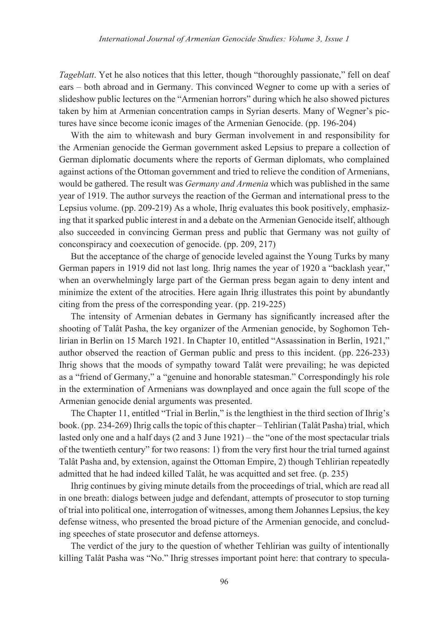*Tageblatt*. Yet he also notices that this letter, though "thoroughly passionate," fell on deaf ears – both abroad and in Germany. This convinced Wegner to come up with a series of slideshow public lectures on the "Armenian horrors" during which he also showed pictures taken by him at Armenian concentration camps in Syrian deserts. Many of Wegner's pictures have since become iconic images of the Armenian Genocide. (pp. 196-204)

With the aim to whitewash and bury German involvement in and responsibility for the Armenian genocide the German government asked Lepsius to prepare a collection of German diplomatic documents where the reports of German diplomats, who complained against actions of the Ottoman government and tried to relieve the condition of Armenians, would be gathered. The result was *Germany and Armenia* which was published in the same year of 1919. The author surveys the reaction of the German and international press to the Lepsius volume. (pp. 209-219) As a whole, Ihrig evaluates this book positively, emphasizing that it sparked public interest in and a debate on the Armenian Genocide itself, although also succeeded in convincing German press and public that Germany was not guilty of conconspiracy and coexecution of genocide. (pp. 209, 217)

But the acceptance of the charge of genocide leveled against the Young Turks by many German papers in 1919 did not last long. Ihrig names the year of 1920 a "backlash year," when an overwhelmingly large part of the German press began again to deny intent and minimize the extent of the atrocities. Here again Ihrig illustrates this point by abundantly citing from the press of the corresponding year. (pp. 219-225)

The intensity of Armenian debates in Germany has significantly increased after the shooting of Talât Pasha, the key organizer of the Armenian genocide, by Soghomon Tehlirian in Berlin on 15 March 1921. In Chapter 10, entitled "Assassination in Berlin, 1921," author observed the reaction of German public and press to this incident. (pp. 226-233) Ihrig shows that the moods of sympathy toward Talât were prevailing; he was depicted as a "friend of Germany," a "genuine and honorable statesman." Correspondingly his role in the extermination of Armenians was downplayed and once again the full scope of the Armenian genocide denial arguments was presented.

The Chapter 11, entitled "Trial in Berlin," is the lengthiest in the third section of Ihrig's book. (pp. 234-269) Ihrig calls the topic of this chapter – Tehlirian (Talât Pasha) trial, which lasted only one and a half days (2 and 3 June 1921) – the "one of the most spectacular trials of the twentieth century" for two reasons: 1) from the very first hour the trial turned against Talât Pasha and, by extension, against the Ottoman Empire, 2) though Tehlirian repeatedly admitted that he had indeed killed Talât, he was acquitted and set free. (p. 235)

Ihrig continues by giving minute details from the proceedings of trial, which are read all in one breath: dialogs between judge and defendant, attempts of prosecutor to stop turning of trial into political one, interrogation of witnesses, among them Johannes Lepsius, the key defense witness, who presented the broad picture of the Armenian genocide, and concluding speeches of state prosecutor and defense attorneys.

The verdict of the jury to the question of whether Tehlirian was guilty of intentionally killing Talât Pasha was "No." Ihrig stresses important point here: that contrary to specula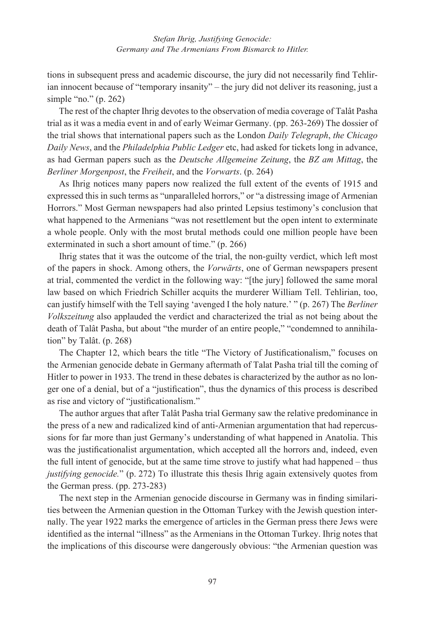tions in subsequent press and academic discourse, the jury did not necessarily find Tehlirian innocent because of "temporary insanity" – the jury did not deliver its reasoning, just a simple "no." (p. 262)

The rest of the chapter Ihrig devotes to the observation of media coverage of Talât Pasha trial as it was a media event in and of early Weimar Germany. (pp. 263-269) The dossier of the trial shows that international papers such as the London *Daily Telegraph*, *the Chicago Daily News*, and the *Philadelphia Public Ledger* etc, had asked for tickets long in advance, as had German papers such as the *Deutsche Allgemeine Zeitung*, the *BZ am Mittag*, the *Berliner Morgenpost*, the *Freiheit*, and the *Vorwarts*. (p. 264)

As Ihrig notices many papers now realized the full extent of the events of 1915 and expressed this in such terms as "unparalleled horrors," or "a distressing image of Armenian Horrors." Most German newspapers had also printed Lepsius testimony's conclusion that what happened to the Armenians "was not resettlement but the open intent to exterminate a whole people. Only with the most brutal methods could one million people have been exterminated in such a short amount of time." (p. 266)

Ihrig states that it was the outcome of the trial, the non-guilty verdict, which left most of the papers in shock. Among others, the *Vorwärts*, one of German newspapers present at trial, commented the verdict in the following way: "[the jury] followed the same moral law based on which Friedrich Schiller acquits the murderer William Tell. Tehlirian, too, can justify himself with the Tell saying 'avenged I the holy nature.' " (p. 267) The *Berliner Volkszeitung* also applauded the verdict and characterized the trial as not being about the death of Talât Pasha, but about "the murder of an entire people," "condemned to annihilation" by Talât. (p. 268)

The Chapter 12, which bears the title "The Victory of Justificationalism," focuses on the Armenian genocide debate in Germany aftermath of Talat Pasha trial till the coming of Hitler to power in 1933. The trend in these debates is characterized by the author as no longer one of a denial, but of a "justification", thus the dynamics of this process is described as rise and victory of "justificationalism."

The author argues that after Talât Pasha trial Germany saw the relative predominance in the press of a new and radicalized kind of anti-Armenian argumentation that had repercussions for far more than just Germany's understanding of what happened in Anatolia. This was the justificationalist argumentation, which accepted all the horrors and, indeed, even the full intent of genocide, but at the same time strove to justify what had happened – thus *justifying genocide.*" (p. 272) To illustrate this thesis Ihrig again extensively quotes from the German press. (pp. 273-283)

The next step in the Armenian genocide discourse in Germany was in finding similarities between the Armenian question in the Ottoman Turkey with the Jewish question internally. The year 1922 marks the emergence of articles in the German press there Jews were identified as the internal "illness" as the Armenians in the Ottoman Turkey. Ihrig notes that the implications of this discourse were dangerously obvious: "the Armenian question was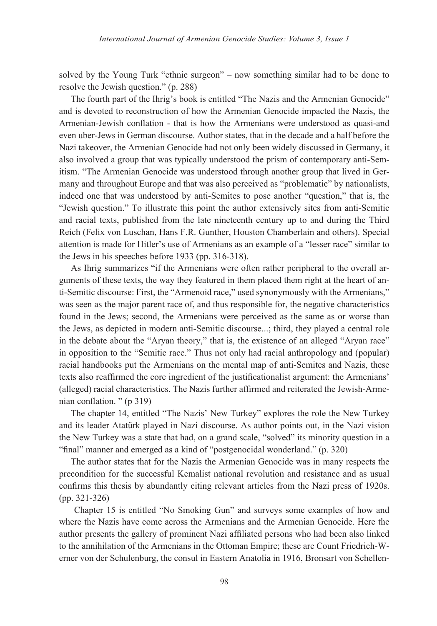solved by the Young Turk "ethnic surgeon" – now something similar had to be done to resolve the Jewish question." (p. 288)

The fourth part of the Ihrig's book is entitled "The Nazis and the Armenian Genocide" and is devoted to reconstruction of how the Armenian Genocide impacted the Nazis, the Armenian-Jewish conflation - that is how the Armenians were understood as quasi-and even uber-Jews in German discourse. Author states, that in the decade and a half before the Nazi takeover, the Armenian Genocide had not only been widely discussed in Germany, it also involved a group that was typically understood the prism of contemporary anti-Semitism. "The Armenian Genocide was understood through another group that lived in Germany and throughout Europe and that was also perceived as "problematic" by nationalists, indeed one that was understood by anti-Semites to pose another "question," that is, the "Jewish question." To illustrate this point the author extensively sites from anti-Semitic and racial texts, published from the late nineteenth century up to and during the Third Reich (Felix von Luschan, Hans F.R. Gunther, Houston Chamberlain and others). Special attention is made for Hitler's use of Armenians as an example of a "lesser race" similar to the Jews in his speeches before 1933 (pp. 316-318).

As Ihrig summarizes "if the Armenians were often rather peripheral to the overall arguments of these texts, the way they featured in them placed them right at the heart of anti-Semitic discourse: First, the "Armenoid race," used synonymously with the Armenians," was seen as the major parent race of, and thus responsible for, the negative characteristics found in the Jews; second, the Armenians were perceived as the same as or worse than the Jews, as depicted in modern anti-Semitic discourse...; third, they played a central role in the debate about the "Aryan theory," that is, the existence of an alleged "Aryan race" in opposition to the "Semitic race." Thus not only had racial anthropology and (popular) racial handbooks put the Armenians on the mental map of anti-Semites and Nazis, these texts also reaffirmed the core ingredient of the justificationalist argument: the Armenians' (alleged) racial characteristics. The Nazis further affirmed and reiterated the Jewish-Armenian conflation. " (p 319)

The chapter 14, entitled "The Nazis' New Turkey" explores the role the New Turkey and its leader Atatürk played in Nazi discourse. As author points out, in the Nazi vision the New Turkey was a state that had, on a grand scale, "solved" its minority question in a "final" manner and emerged as a kind of "postgenocidal wonderland." (p. 320)

The author states that for the Nazis the Armenian Genocide was in many respects the precondition for the successful Kemalist national revolution and resistance and as usual confirms this thesis by abundantly citing relevant articles from the Nazi press of 1920s. (pp. 321-326)

 Chapter 15 is entitled "No Smoking Gun" and surveys some examples of how and where the Nazis have come across the Armenians and the Armenian Genocide. Here the author presents the gallery of prominent Nazi affiliated persons who had been also linked to the annihilation of the Armenians in the Ottoman Empire; these are Count Friedrich-Werner von der Schulenburg, the consul in Eastern Anatolia in 1916, Bronsart von Schellen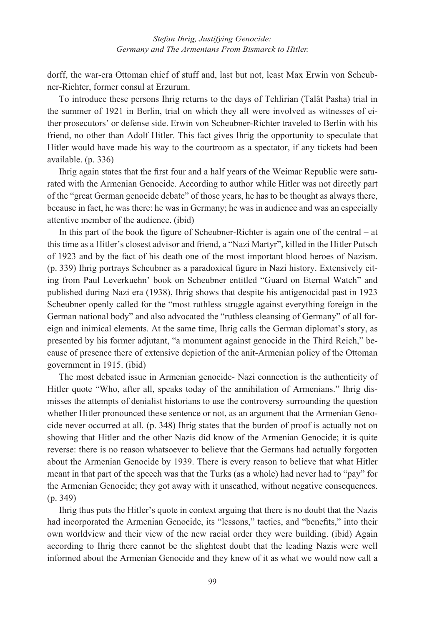dorff, the war-era Ottoman chief of stuff and, last but not, least Max Erwin von Scheubner-Richter, former consul at Erzurum.

To introduce these persons Ihrig returns to the days of Tehlirian (Talât Pasha) trial in the summer of 1921 in Berlin, trial on which they all were involved as witnesses of either prosecutors' or defense side. Erwin von Scheubner-Richter traveled to Berlin with his friend, no other than Adolf Hitler. This fact gives Ihrig the opportunity to speculate that Hitler would have made his way to the courtroom as a spectator, if any tickets had been available. (p. 336)

Ihrig again states that the first four and a half years of the Weimar Republic were saturated with the Armenian Genocide. According to author while Hitler was not directly part of the "great German genocide debate" of those years, he has to be thought as always there, because in fact, he was there: he was in Germany; he was in audience and was an especially attentive member of the audience. (ibid)

In this part of the book the figure of Scheubner-Richter is again one of the central – at this time as a Hitler's closest advisor and friend, a "Nazi Martyr", killed in the Hitler Putsch of 1923 and by the fact of his death one of the most important blood heroes of Nazism. (p. 339) Ihrig portrays Scheubner as a paradoxical figure in Nazi history. Extensively citing from Paul Leverkuehn' book on Scheubner entitled "Guard on Eternal Watch" and published during Nazi era (1938), Ihrig shows that despite his antigenocidal past in 1923 Scheubner openly called for the "most ruthless struggle against everything foreign in the German national body" and also advocated the "ruthless cleansing of Germany" of all foreign and inimical elements. At the same time, Ihrig calls the German diplomat's story, as presented by his former adjutant, "a monument against genocide in the Third Reich," because of presence there of extensive depiction of the anit-Armenian policy of the Ottoman government in 1915. (ibid)

The most debated issue in Armenian genocide- Nazi connection is the authenticity of Hitler quote "Who, after all, speaks today of the annihilation of Armenians." Ihrig dismisses the attempts of denialist historians to use the controversy surrounding the question whether Hitler pronounced these sentence or not, as an argument that the Armenian Genocide never occurred at all. (p. 348) Ihrig states that the burden of proof is actually not on showing that Hitler and the other Nazis did know of the Armenian Genocide; it is quite reverse: there is no reason whatsoever to believe that the Germans had actually forgotten about the Armenian Genocide by 1939. There is every reason to believe that what Hitler meant in that part of the speech was that the Turks (as a whole) had never had to "pay" for the Armenian Genocide; they got away with it unscathed, without negative consequences. (p. 349)

Ihrig thus puts the Hitler's quote in context arguing that there is no doubt that the Nazis had incorporated the Armenian Genocide, its "lessons," tactics, and "benefits," into their own worldview and their view of the new racial order they were building. (ibid) Again according to Ihrig there cannot be the slightest doubt that the leading Nazis were well informed about the Armenian Genocide and they knew of it as what we would now call a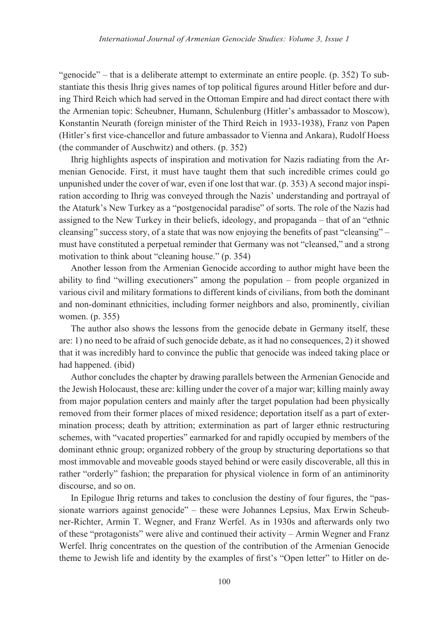"genocide" – that is a deliberate attempt to exterminate an entire people. (p. 352) To substantiate this thesis Ihrig gives names of top political figures around Hitler before and during Third Reich which had served in the Ottoman Empire and had direct contact there with the Armenian topic: Scheubner, Humann, Schulenburg (Hitler's ambassador to Moscow), Konstantin Neurath (foreign minister of the Third Reich in 1933-1938), Franz von Papen (Hitler's first vice-chancellor and future ambassador to Vienna and Ankara), Rudolf Hoess (the commander of Auschwitz) and others. (p. 352)

Ihrig highlights aspects of inspiration and motivation for Nazis radiating from the Armenian Genocide. First, it must have taught them that such incredible crimes could go unpunished under the cover of war, even if one lost that war. (p. 353) A second major inspiration according to Ihrig was conveyed through the Nazis' understanding and portrayal of the Ataturk's New Turkey as a "postgenocidal paradise" of sorts. The role of the Nazis had assigned to the New Turkey in their beliefs, ideology, and propaganda – that of an "ethnic cleansing" success story, of a state that was now enjoying the benefits of past "cleansing" – must have constituted a perpetual reminder that Germany was not "cleansed," and a strong motivation to think about "cleaning house." (p. 354)

Another lesson from the Armenian Genocide according to author might have been the ability to find "willing executioners" among the population – from people organized in various civil and military formations to different kinds of civilians, from both the dominant and non-dominant ethnicities, including former neighbors and also, prominently, civilian women. (p. 355)

The author also shows the lessons from the genocide debate in Germany itself, these are: 1) no need to be afraid of such genocide debate, as it had no consequences, 2) it showed that it was incredibly hard to convince the public that genocide was indeed taking place or had happened. (ibid)

Author concludes the chapter by drawing parallels between the Armenian Genocide and the Jewish Holocaust, these are: killing under the cover of a major war; killing mainly away from major population centers and mainly after the target population had been physically removed from their former places of mixed residence; deportation itself as a part of extermination process; death by attrition; extermination as part of larger ethnic restructuring schemes, with "vacated properties" earmarked for and rapidly occupied by members of the dominant ethnic group; organized robbery of the group by structuring deportations so that most immovable and moveable goods stayed behind or were easily discoverable, all this in rather "orderly" fashion; the preparation for physical violence in form of an antiminority discourse, and so on.

In Epilogue Ihrig returns and takes to conclusion the destiny of four figures, the "passionate warriors against genocide" – these were Johannes Lepsius, Max Erwin Scheubner-Richter, Armin T. Wegner, and Franz Werfel. As in 1930s and afterwards only two of these "protagonists" were alive and continued their activity – Armin Wegner and Franz Werfel. Ihrig concentrates on the question of the contribution of the Armenian Genocide theme to Jewish life and identity by the examples of first's "Open letter" to Hitler on de